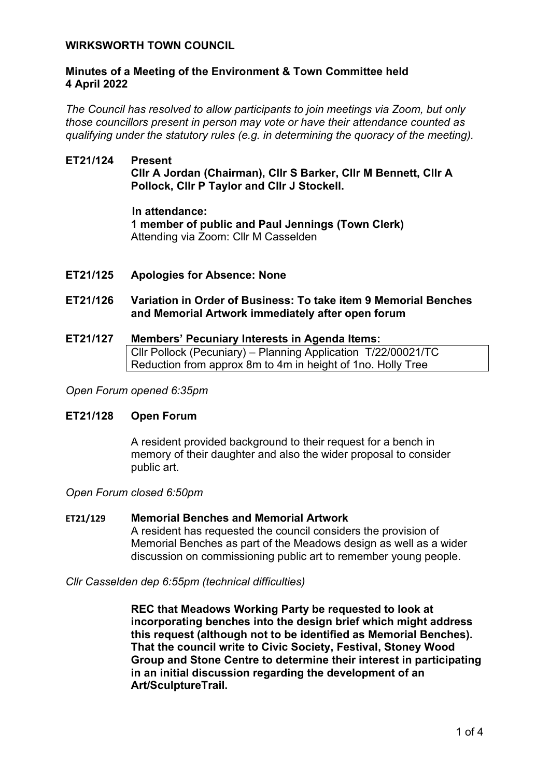### **WIRKSWORTH TOWN COUNCIL**

### **Minutes of a Meeting of the Environment & Town Committee held 4 April 2022**

*The Council has resolved to allow participants to join meetings via Zoom, but only those councillors present in person may vote or have their attendance counted as qualifying under the statutory rules (e.g. in determining the quoracy of the meeting).*

# **ET21/124 Present Cllr A Jordan (Chairman), Cllr S Barker, Cllr M Bennett, Cllr A Pollock, Cllr P Taylor and Cllr J Stockell.**

**In attendance: 1 member of public and Paul Jennings (Town Clerk)** Attending via Zoom: Cllr M Casselden

**ET21/125 Apologies for Absence: None**

## **ET21/126 Variation in Order of Business: To take item 9 Memorial Benches and Memorial Artwork immediately after open forum**

**ET21/127 Members' Pecuniary Interests in Agenda Items:**  Cllr Pollock (Pecuniary) – Planning Application T/22/00021/TC Reduction from approx 8m to 4m in height of 1no. Holly Tree

*Open Forum opened 6:35pm*

#### **ET21/128 Open Forum**

A resident provided background to their request for a bench in memory of their daughter and also the wider proposal to consider public art.

*Open Forum closed 6:50pm*

#### **ET21/129 Memorial Benches and Memorial Artwork**

A resident has requested the council considers the provision of Memorial Benches as part of the Meadows design as well as a wider discussion on commissioning public art to remember young people.

*Cllr Casselden dep 6:55pm (technical difficulties)*

**REC that Meadows Working Party be requested to look at incorporating benches into the design brief which might address this request (although not to be identified as Memorial Benches). That the council write to Civic Society, Festival, Stoney Wood Group and Stone Centre to determine their interest in participating in an initial discussion regarding the development of an Art/SculptureTrail.**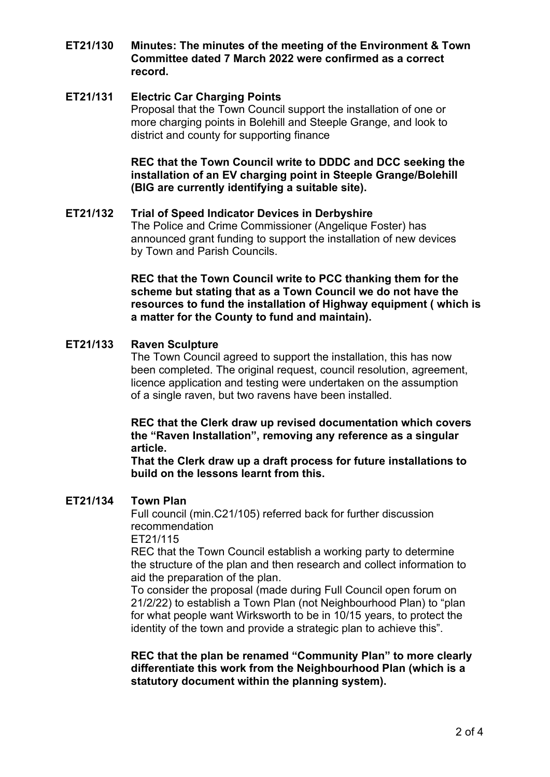**ET21/130 Minutes: The minutes of the meeting of the Environment & Town Committee dated 7 March 2022 were confirmed as a correct record.** 

## **ET21/131 Electric Car Charging Points**

Proposal that the Town Council support the installation of one or more charging points in Bolehill and Steeple Grange, and look to district and county for supporting finance

**REC that the Town Council write to DDDC and DCC seeking the installation of an EV charging point in Steeple Grange/Bolehill (BIG are currently identifying a suitable site).** 

### **ET21/132 Trial of Speed Indicator Devices in Derbyshire**

The Police and Crime Commissioner (Angelique Foster) has announced grant funding to support the installation of new devices by Town and Parish Councils.

**REC that the Town Council write to PCC thanking them for the scheme but stating that as a Town Council we do not have the resources to fund the installation of Highway equipment ( which is a matter for the County to fund and maintain).** 

#### **ET21/133 Raven Sculpture**

The Town Council agreed to support the installation, this has now been completed. The original request, council resolution, agreement, licence application and testing were undertaken on the assumption of a single raven, but two ravens have been installed.

**REC that the Clerk draw up revised documentation which covers the "Raven Installation", removing any reference as a singular article.**

**That the Clerk draw up a draft process for future installations to build on the lessons learnt from this.**

### **ET21/134 Town Plan**

Full council (min.C21/105) referred back for further discussion recommendation

ET21/115

REC that the Town Council establish a working party to determine the structure of the plan and then research and collect information to aid the preparation of the plan.

To consider the proposal (made during Full Council open forum on 21/2/22) to establish a Town Plan (not Neighbourhood Plan) to "plan for what people want Wirksworth to be in 10/15 years, to protect the identity of the town and provide a strategic plan to achieve this".

**REC that the plan be renamed "Community Plan" to more clearly differentiate this work from the Neighbourhood Plan (which is a statutory document within the planning system).**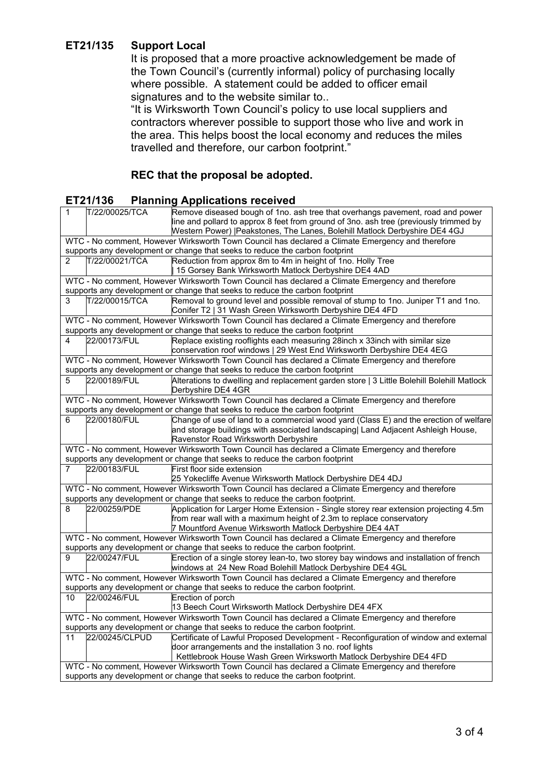# **ET21/135 Support Local**

It is proposed that a more proactive acknowledgement be made of the Town Council's (currently informal) policy of purchasing locally where possible. A statement could be added to officer email signatures and to the website similar to..

"It is Wirksworth Town Council's policy to use local suppliers and contractors wherever possible to support those who live and work in the area. This helps boost the local economy and reduces the miles travelled and therefore, our carbon footprint."

# **REC that the proposal be adopted.**

| <b>Planning Applications received</b><br>ET21/136                                                |                |                                                                                                                                               |  |
|--------------------------------------------------------------------------------------------------|----------------|-----------------------------------------------------------------------------------------------------------------------------------------------|--|
| 1                                                                                                | T/22/00025/TCA | Remove diseased bough of 1no. ash tree that overhangs pavement, road and power                                                                |  |
|                                                                                                  |                | line and pollard to approx 8 feet from ground of 3no. ash tree (previously trimmed by                                                         |  |
|                                                                                                  |                | Western Power)   Peakstones, The Lanes, Bolehill Matlock Derbyshire DE4 4GJ                                                                   |  |
|                                                                                                  |                | WTC - No comment, However Wirksworth Town Council has declared a Climate Emergency and therefore                                              |  |
|                                                                                                  |                | supports any development or change that seeks to reduce the carbon footprint                                                                  |  |
| $\overline{2}$                                                                                   | T/22/00021/TCA | Reduction from approx 8m to 4m in height of 1no. Holly Tree                                                                                   |  |
|                                                                                                  |                | 15 Gorsey Bank Wirksworth Matlock Derbyshire DE4 4AD                                                                                          |  |
| WTC - No comment, However Wirksworth Town Council has declared a Climate Emergency and therefore |                |                                                                                                                                               |  |
|                                                                                                  |                | supports any development or change that seeks to reduce the carbon footprint                                                                  |  |
| 3                                                                                                | T/22/00015/TCA | Removal to ground level and possible removal of stump to 1no. Juniper T1 and 1no.<br>Conifer T2   31 Wash Green Wirksworth Derbyshire DE4 4FD |  |
| WTC - No comment, However Wirksworth Town Council has declared a Climate Emergency and therefore |                |                                                                                                                                               |  |
| supports any development or change that seeks to reduce the carbon footprint                     |                |                                                                                                                                               |  |
| 4                                                                                                | 22/00173/FUL   | Replace existing rooflights each measuring 28inch x 33inch with similar size                                                                  |  |
|                                                                                                  |                | conservation roof windows   29 West End Wirksworth Derbyshire DE4 4EG                                                                         |  |
| WTC - No comment, However Wirksworth Town Council has declared a Climate Emergency and therefore |                |                                                                                                                                               |  |
| supports any development or change that seeks to reduce the carbon footprint                     |                |                                                                                                                                               |  |
| 5                                                                                                | 22/00189/FUL   | Alterations to dwelling and replacement garden store   3 Little Bolehill Bolehill Matlock<br>Derbyshire DE4 4GR                               |  |
| WTC - No comment, However Wirksworth Town Council has declared a Climate Emergency and therefore |                |                                                                                                                                               |  |
| supports any development or change that seeks to reduce the carbon footprint                     |                |                                                                                                                                               |  |
| 6                                                                                                | 22/00180/FUL   | Change of use of land to a commercial wood yard (Class E) and the erection of welfare                                                         |  |
|                                                                                                  |                | and storage buildings with associated landscaping  Land Adjacent Ashleigh House,                                                              |  |
|                                                                                                  |                | Ravenstor Road Wirksworth Derbyshire                                                                                                          |  |
| WTC - No comment, However Wirksworth Town Council has declared a Climate Emergency and therefore |                |                                                                                                                                               |  |
| supports any development or change that seeks to reduce the carbon footprint                     |                |                                                                                                                                               |  |
| 7                                                                                                | 22/00183/FUL   | First floor side extension                                                                                                                    |  |
|                                                                                                  |                | 25 Yokecliffe Avenue Wirksworth Matlock Derbyshire DE4 4DJ                                                                                    |  |
| WTC - No comment, However Wirksworth Town Council has declared a Climate Emergency and therefore |                |                                                                                                                                               |  |
| supports any development or change that seeks to reduce the carbon footprint.                    |                |                                                                                                                                               |  |
| 8                                                                                                | 22/00259/PDE   | Application for Larger Home Extension - Single storey rear extension projecting 4.5m                                                          |  |
|                                                                                                  |                | from rear wall with a maximum height of 2.3m to replace conservatory                                                                          |  |
|                                                                                                  |                | 7 Mountford Avenue Wirksworth Matlock Derbyshire DE4 4AT                                                                                      |  |
| WTC - No comment, However Wirksworth Town Council has declared a Climate Emergency and therefore |                |                                                                                                                                               |  |
| supports any development or change that seeks to reduce the carbon footprint.                    |                |                                                                                                                                               |  |
| 9                                                                                                | 22/00247/FUL   | Erection of a single storey lean-to, two storey bay windows and installation of french                                                        |  |
|                                                                                                  |                | windows at 24 New Road Bolehill Matlock Derbyshire DE4 4GL                                                                                    |  |
|                                                                                                  |                | WTC - No comment, However Wirksworth Town Council has declared a Climate Emergency and therefore                                              |  |
|                                                                                                  |                | supports any development or change that seeks to reduce the carbon footprint.                                                                 |  |
| 10                                                                                               | 22/00246/FUL   | Erection of porch                                                                                                                             |  |
|                                                                                                  |                | 13 Beech Court Wirksworth Matlock Derbyshire DE4 4FX                                                                                          |  |
| WTC - No comment, However Wirksworth Town Council has declared a Climate Emergency and therefore |                |                                                                                                                                               |  |
|                                                                                                  |                | supports any development or change that seeks to reduce the carbon footprint.                                                                 |  |
| 11                                                                                               | 22/00245/CLPUD | Certificate of Lawful Proposed Development - Reconfiguration of window and external                                                           |  |
|                                                                                                  |                | door arrangements and the installation 3 no. roof lights                                                                                      |  |
|                                                                                                  |                | Kettlebrook House Wash Green Wirksworth Matlock Derbyshire DE4 4FD                                                                            |  |
| WTC - No comment, However Wirksworth Town Council has declared a Climate Emergency and therefore |                |                                                                                                                                               |  |
| supports any development or change that seeks to reduce the carbon footprint.                    |                |                                                                                                                                               |  |